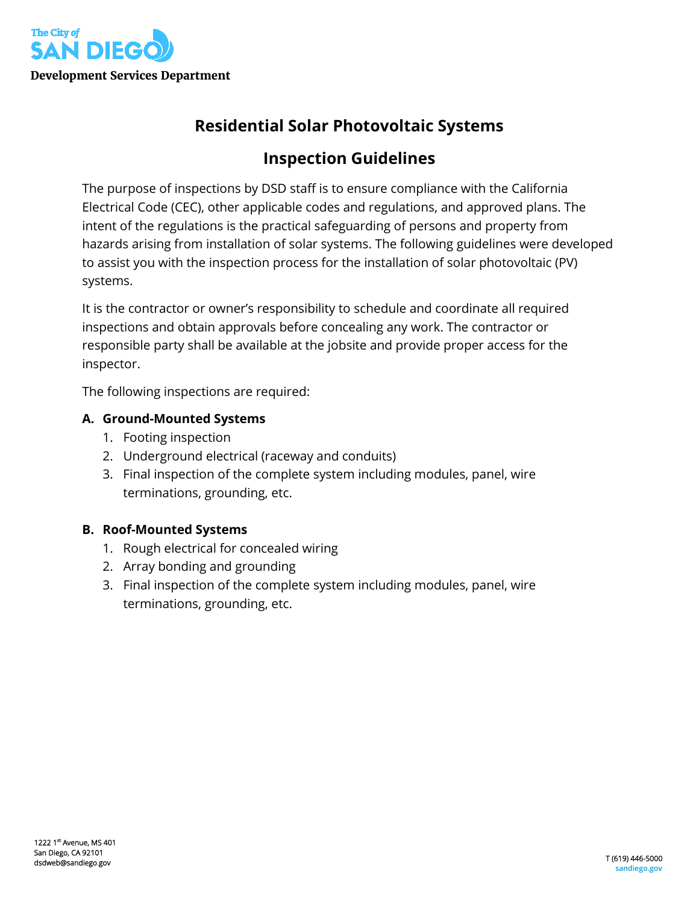

# **Residential Solar Photovoltaic Systems**

# **Inspection Guidelines**

The purpose of inspections by DSD staff is to ensure compliance with the California Electrical Code (CEC), other applicable codes and regulations, and approved plans. The intent of the regulations is the practical safeguarding of persons and property from hazards arising from installation of solar systems. The following guidelines were developed to assist you with the inspection process for the installation of solar photovoltaic (PV) systems.

It is the contractor or owner's responsibility to schedule and coordinate all required inspections and obtain approvals before concealing any work. The contractor or responsible party shall be available at the jobsite and provide proper access for the inspector.

The following inspections are required:

### **A. Ground-Mounted Systems**

- 1. Footing inspection
- 2. Underground electrical (raceway and conduits)
- 3. Final inspection of the complete system including modules, panel, wire terminations, grounding, etc.

#### **B. Roof-Mounted Systems**

- 1. Rough electrical for concealed wiring
- 2. Array bonding and grounding
- 3. Final inspection of the complete system including modules, panel, wire terminations, grounding, etc.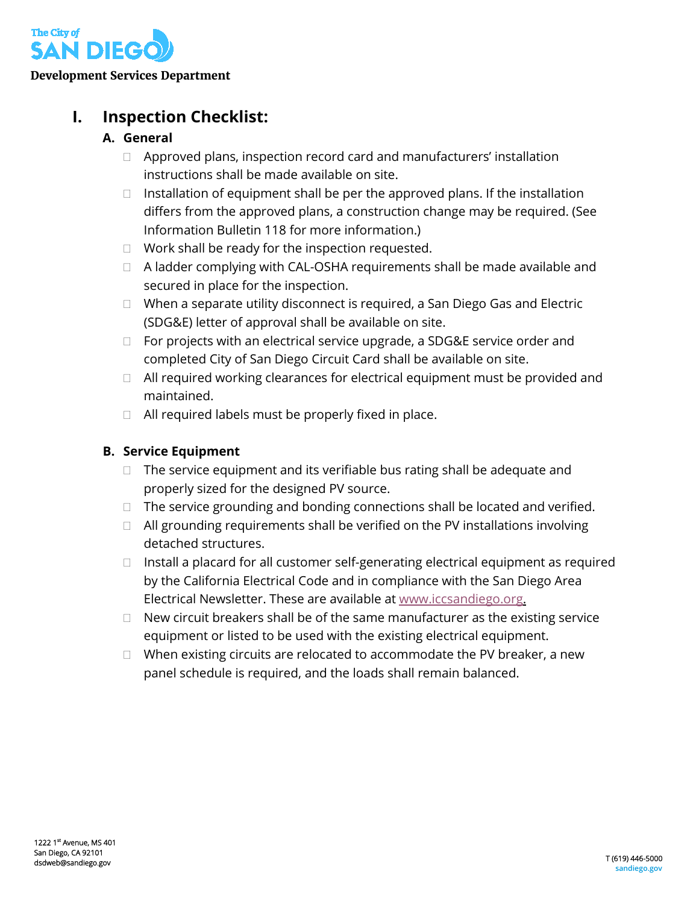

# **I. Inspection Checklist:**

## **A. General**

- $\Box$  Approved plans, inspection record card and manufacturers' installation instructions shall be made available on site.
- $\Box$  Installation of equipment shall be per the approved plans. If the installation differs from the approved plans, a construction change may be required. (See Information Bulletin 118 for more information.)
- $\Box$  Work shall be ready for the inspection requested.
- □ A ladder complying with CAL-OSHA requirements shall be made available and secured in place for the inspection.
- □ When a separate utility disconnect is required, a San Diego Gas and Electric (SDG&E) letter of approval shall be available on site.
- □ For projects with an electrical service upgrade, a SDG&E service order and completed City of San Diego Circuit Card shall be available on site.
- $\Box$  All required working clearances for electrical equipment must be provided and maintained.
- $\Box$  All required labels must be properly fixed in place.

# **B. Service Equipment**

- $\Box$  The service equipment and its verifiable bus rating shall be adequate and properly sized for the designed PV source.
- $\Box$  The service grounding and bonding connections shall be located and verified.
- $\Box$  All grounding requirements shall be verified on the PV installations involving detached structures.
- $\Box$  Install a placard for all customer self-generating electrical equipment as required by the California Electrical Code and in compliance with the San Diego Area Electrical Newsletter. These are available a[t www.iccsandiego.org.](http://www.iccsandiego.org/)
- $\Box$  New circuit breakers shall be of the same manufacturer as the existing service equipment or listed to be used with the existing electrical equipment.
- $\Box$  When existing circuits are relocated to accommodate the PV breaker, a new panel schedule is required, and the loads shall remain balanced.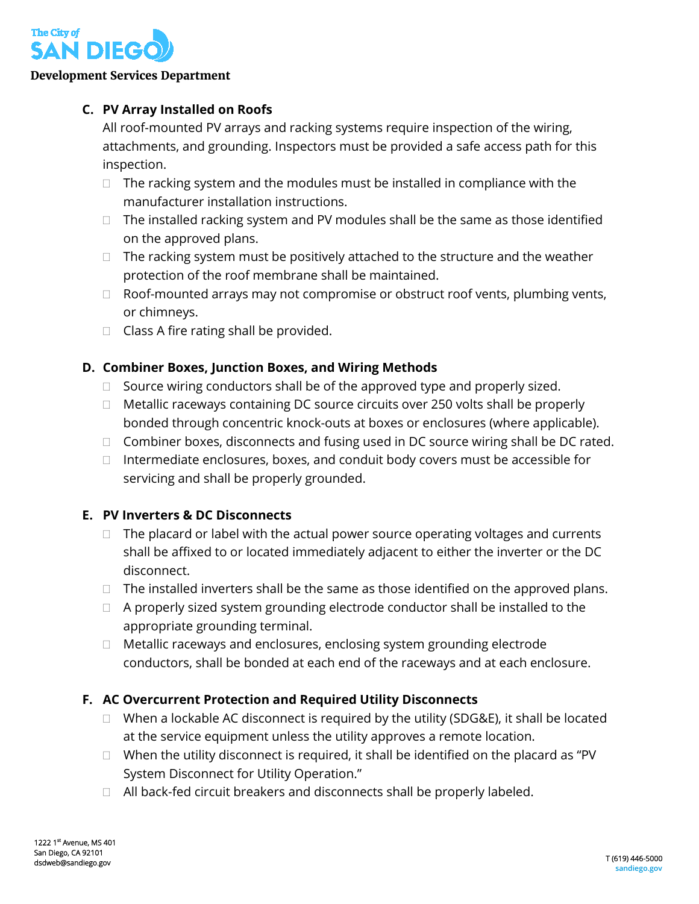

#### **Development Services Department**

### **C. PV Array Installed on Roofs**

All roof-mounted PV arrays and racking systems require inspection of the wiring, attachments, and grounding. Inspectors must be provided a safe access path for this inspection.

- $\Box$  The racking system and the modules must be installed in compliance with the manufacturer installation instructions.
- $\Box$  The installed racking system and PV modules shall be the same as those identified on the approved plans.
- $\Box$  The racking system must be positively attached to the structure and the weather protection of the roof membrane shall be maintained.
- □ Roof-mounted arrays may not compromise or obstruct roof vents, plumbing vents, or chimneys.
- $\Box$  Class A fire rating shall be provided.

### **D. Combiner Boxes, Junction Boxes, and Wiring Methods**

- $\Box$  Source wiring conductors shall be of the approved type and properly sized.
- $\Box$  Metallic raceways containing DC source circuits over 250 volts shall be properly bonded through concentric knock-outs at boxes or enclosures (where applicable).
- $\Box$  Combiner boxes, disconnects and fusing used in DC source wiring shall be DC rated.
- $\Box$  Intermediate enclosures, boxes, and conduit body covers must be accessible for servicing and shall be properly grounded.

## **E. PV Inverters & DC Disconnects**

- $\Box$  The placard or label with the actual power source operating voltages and currents shall be affixed to or located immediately adjacent to either the inverter or the DC disconnect.
- $\Box$  The installed inverters shall be the same as those identified on the approved plans.
- $\Box$  A properly sized system grounding electrode conductor shall be installed to the appropriate grounding terminal.
- □ Metallic raceways and enclosures, enclosing system grounding electrode conductors, shall be bonded at each end of the raceways and at each enclosure.

## **F. AC Overcurrent Protection and Required Utility Disconnects**

- $\Box$  When a lockable AC disconnect is required by the utility (SDG&E), it shall be located at the service equipment unless the utility approves a remote location.
- $\Box$  When the utility disconnect is required, it shall be identified on the placard as "PV System Disconnect for Utility Operation."
- $\Box$  All back-fed circuit breakers and disconnects shall be properly labeled.